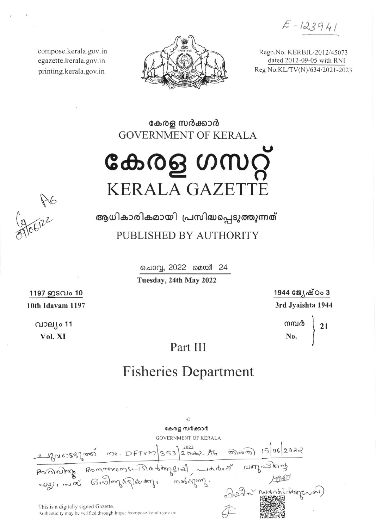$E - 123941$ 

compose.kerala.gov.in egazette.kerala.gov.in printing.kerala.gov.in



Regn.No. KERBIL/2012/45073 dated 2012-09-05 with RNI Reg No.KL/TV(N)/634/2021-2023

കേരള സർക്കാർ **GOVERNMENT OF KERALA** 

കേരള ഗസറ്റ് **KERALA GAZETT** 

A R6

ആധികാരികമായി പ്രസിദ്ധപ്പെടുത്തുന്നത് PUBLISHED BY AUTHORITY

> ചൊവ്വ, 2022 മെയ്! 24 Tuesday, 24th May 2022

> > 1944 ജ്യേഷ്ഠം 3 3rd Jyaishta 1944

> > > mm $\frac{1}{\infty}$  21

Part III

## **Fisheries Department**

കേരള സർക്കാർ **GOVERNMENT OF KERALA** This is a digitally signed Gazette. Authenticity may be verified through https://compose.kerala.gov.in/

1197 ഇടവം 10 10th Idavam 1197

> വാല്യം 11 Vol. XI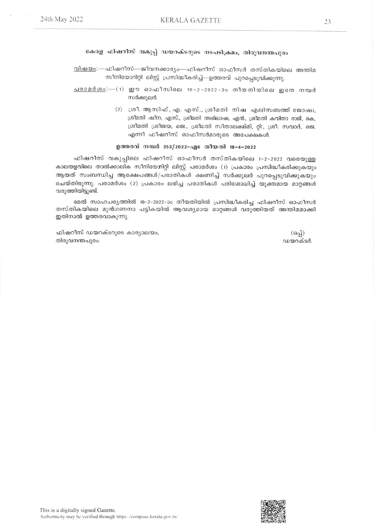## കേരള ഫിഷറീസ് വകുപ്പ് ഡയറക്ടറുടെ നടപടിക്രമം, തിരുവനന്തപുരം

<u>വിഷയം</u>:—ഫിഷറീസ്—ജീവനക്കാര്യം—ഫിഷറീസ് ഓഫീസർ തസ്തികയിലെ അന്തിമ സീനിയോറിറ്റി ലിസ്റ്റ് പ്രസിദ്ധീകരിച്ച്—ഉത്തരവ് പുറപ്പെടുവിക്കുന്നു.

- <u>പരാമർശം</u>:— $(1)$  ഈ ഓഫീസിലെ 10-2-2022-ാം തീയതിയിലെ ഇതേ നമ്പർ സർക്കുലർ.
	- (2) ശ്രീ. ആസിഫ്, എ. എസ്., ശ്രീമതി നിഷ എലിസബത്ത് ജോഷ്വ, ശ്രീമതി ഷീന, എസ്., ശ്രീമതി അഭിലാഷ, എൻ., ശ്രീമതി കവിതാ രാജ്, കെ, ശ്രീമതി ശ്രീജയ, ജെ., ശ്രീമതി സീതാലക്ഷ്മി, റ്റി., ശ്രീ. സവാദ്, ജെ. എന്നീ ഫീഷറീസ് ഓഫീസർമാരുടെ അപേക്ഷകൾ.

## ഉത്തരവ് നമ്പർ 353/2022-എം തീയതി 18-4-2022

ഫിഷറീസ് വകുപ്പിലെ ഫിഷറീസ് ഓഫീസർ തസ്തികയിലെ 1-2-2022 വരെയുള്ള കാലയളവിലെ താൽക്കാലിക സീനിയേനിറ്റി ലിസ്റ്റ് പരാമർശം (1) പ്രകാരം പ്രസിദ്ധീകരിക്കുകയും ആയത് സംബന്ധിച്ച ആക്ഷേപങ്ങൾ/പരാതികൾ ക്ഷണിച്ച് സർക്കുലർ പുറപ്പെടുവിക്കുകയും ചെയ്തിരുന്നു. പരാമർശം (2) പ്രകാരം ലഭിച്ച പരാതികൾ പരിശോധിച്ച് യുക്തമായ മാറ്റങ്ങൾ വരുത്തിയിട്ടുണ്ട്.

മേൽ സാഹചര്യത്തിൽ 10-2-2022-ാം തീയതിയിൽ പ്രസിദ്ധീകരിച്ച ഫിഷറീസ് ഓഫീസർ തസ്തികയിലെ മുൻഗണനാ പട്ടികയിൽ ആവശ്യമായ മാറ്റങ്ങൾ വരുത്തിയത് അന്തിമമാക്കി ഇതിനാൽ ഉത്തരവാകുന്നു.

ഫിഷറീസ് ഡയറക്ടറുടെ കാര്യാലയം, തിരുവനന്തപുരം.

 $(6a)$ ഡയറക്ടർ.